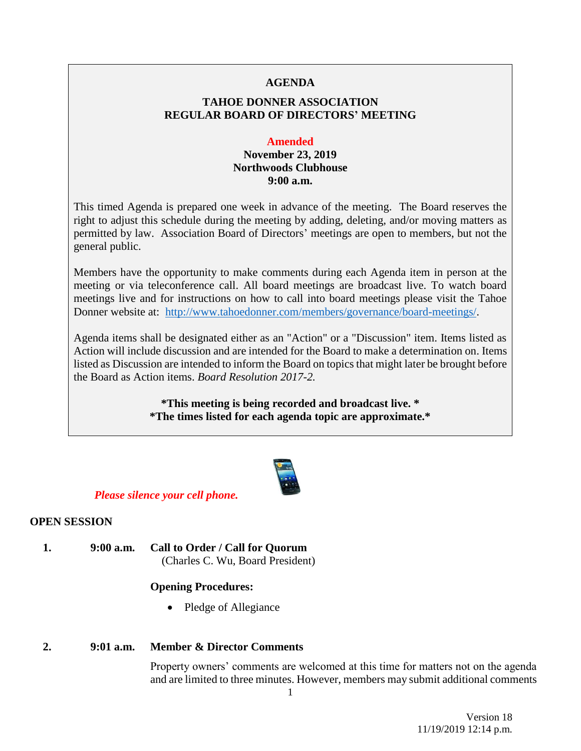### **AGENDA**

# **TAHOE DONNER ASSOCIATION REGULAR BOARD OF DIRECTORS' MEETING**

#### **Amended**

## **November 23, 2019 Northwoods Clubhouse 9:00 a.m.**

This timed Agenda is prepared one week in advance of the meeting. The Board reserves the right to adjust this schedule during the meeting by adding, deleting, and/or moving matters as permitted by law. Association Board of Directors' meetings are open to members, but not the general public.

Members have the opportunity to make comments during each Agenda item in person at the meeting or via teleconference call. All board meetings are broadcast live. To watch board meetings live and for instructions on how to call into board meetings please visit the Tahoe Donner website at: [http://www.tahoedonner.com/members/governance/board-meetings/.](http://www.tahoedonner.com/members/governance/board-meetings/)

Agenda items shall be designated either as an "Action" or a "Discussion" item. Items listed as Action will include discussion and are intended for the Board to make a determination on. Items listed as Discussion are intended to inform the Board on topics that might later be brought before the Board as Action items. *Board Resolution 2017-2.*

> **\*This meeting is being recorded and broadcast live. \* \*The times listed for each agenda topic are approximate.\***



#### *Please silence your cell phone.*

### **OPEN SESSION**

**1. 9:00 a.m. Call to Order / Call for Quorum** (Charles C. Wu, Board President)

### **Opening Procedures:**

• Pledge of Allegiance

## **2. 9:01 a.m. Member & Director Comments**

Property owners' comments are welcomed at this time for matters not on the agenda and are limited to three minutes. However, members may submit additional comments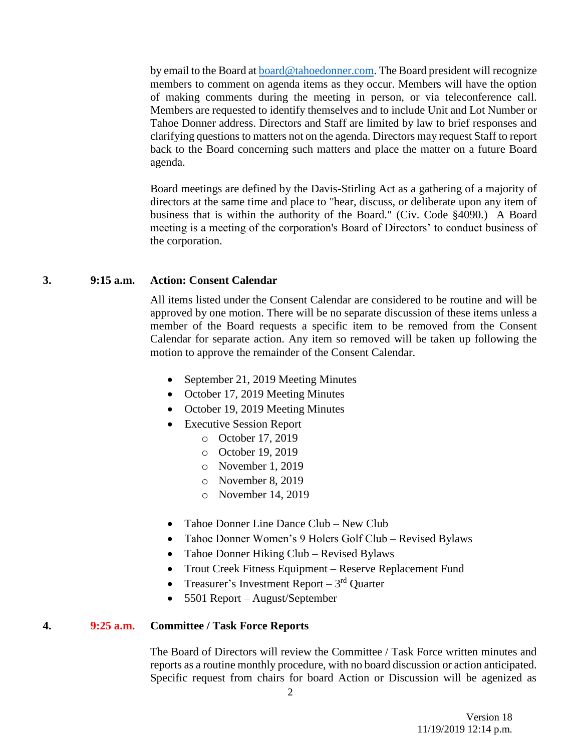by email to the Board at **board@tahoedonner.com**. The Board president will recognize members to comment on agenda items as they occur. Members will have the option of making comments during the meeting in person, or via teleconference call. Members are requested to identify themselves and to include Unit and Lot Number or Tahoe Donner address. Directors and Staff are limited by law to brief responses and clarifying questions to matters not on the agenda. Directors may request Staff to report back to the Board concerning such matters and place the matter on a future Board agenda.

Board meetings are defined by the Davis-Stirling Act as a gathering of a majority of directors at the same time and place to "hear, discuss, or deliberate upon any item of business that is within the authority of the Board." (Civ. Code §4090.) A Board meeting is a meeting of the corporation's Board of Directors' to conduct business of the corporation.

#### **3. 9:15 a.m. Action: Consent Calendar**

All items listed under the Consent Calendar are considered to be routine and will be approved by one motion. There will be no separate discussion of these items unless a member of the Board requests a specific item to be removed from the Consent Calendar for separate action. Any item so removed will be taken up following the motion to approve the remainder of the Consent Calendar.

- September 21, 2019 Meeting Minutes
- October 17, 2019 Meeting Minutes
- October 19, 2019 Meeting Minutes
- Executive Session Report
	- o October 17, 2019
	- o October 19, 2019
	- o November 1, 2019
	- o November 8, 2019
	- o November 14, 2019
- Tahoe Donner Line Dance Club New Club
- Tahoe Donner Women's 9 Holers Golf Club Revised Bylaws
- Tahoe Donner Hiking Club Revised Bylaws
- Trout Creek Fitness Equipment Reserve Replacement Fund
- Treasurer's Investment Report  $-3<sup>rd</sup>$  Quarter
- 5501 Report August/September

#### **4. 9:25 a.m. Committee / Task Force Reports**

The Board of Directors will review the Committee / Task Force written minutes and reports as a routine monthly procedure, with no board discussion or action anticipated. Specific request from chairs for board Action or Discussion will be agenized as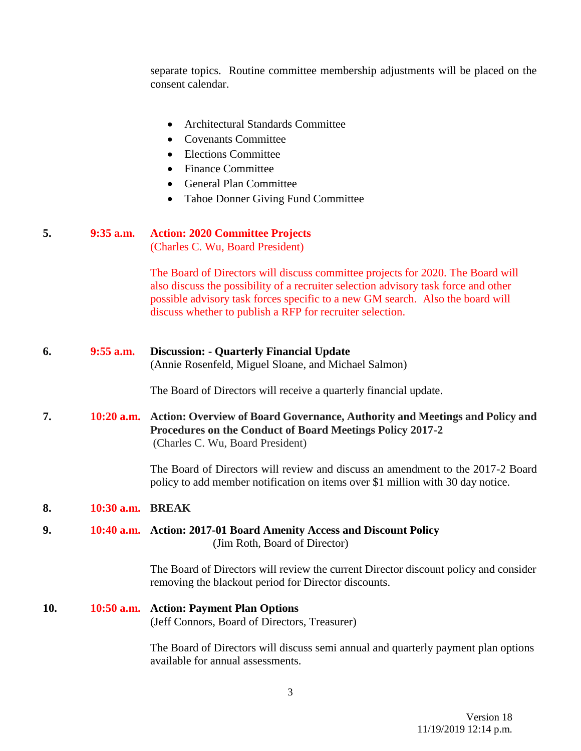separate topics. Routine committee membership adjustments will be placed on the consent calendar.

- Architectural Standards Committee
- Covenants Committee
- Elections Committee
- Finance Committee
- General Plan Committee
- Tahoe Donner Giving Fund Committee

| 5. | $9:35$ a.m. | <b>Action: 2020 Committee Projects</b> |
|----|-------------|----------------------------------------|
|    |             | (Charles C. Wu. Board President)       |

The Board of Directors will discuss committee projects for 2020. The Board will also discuss the possibility of a recruiter selection advisory task force and other possible advisory task forces specific to a new GM search. Also the board will discuss whether to publish a RFP for recruiter selection.

**6. 9:55 a.m. Discussion: - Quarterly Financial Update** (Annie Rosenfeld, Miguel Sloane, and Michael Salmon)

The Board of Directors will receive a quarterly financial update.

**7. 10:20 a.m. Action: Overview of Board Governance, Authority and Meetings and Policy and Procedures on the Conduct of Board Meetings Policy 2017-2** (Charles C. Wu, Board President)

> The Board of Directors will review and discuss an amendment to the 2017-2 Board policy to add member notification on items over \$1 million with 30 day notice.

## **8. 10:30 a.m. BREAK**

### **9. 10:40 a.m. Action: 2017-01 Board Amenity Access and Discount Policy** (Jim Roth, Board of Director)

The Board of Directors will review the current Director discount policy and consider removing the blackout period for Director discounts.

**10. 10:50 a.m. Action: Payment Plan Options** (Jeff Connors, Board of Directors, Treasurer)

> The Board of Directors will discuss semi annual and quarterly payment plan options available for annual assessments.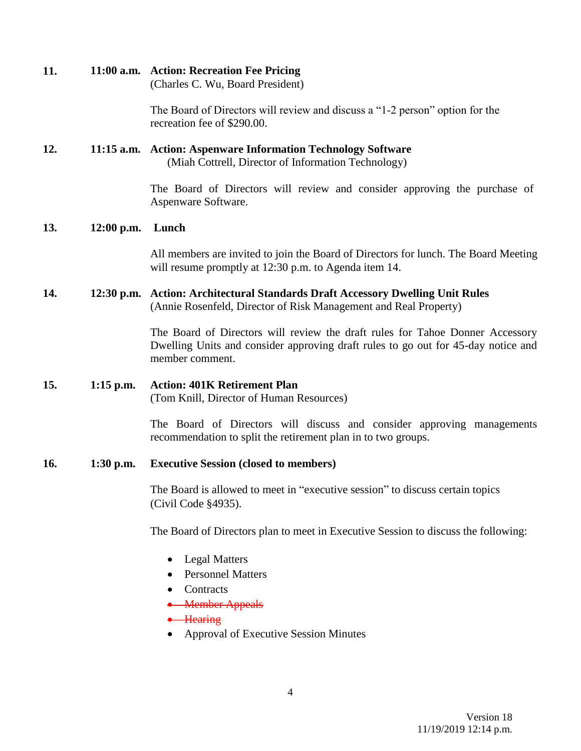| 11. |              | 11:00 a.m. Action: Recreation Fee Pricing<br>(Charles C. Wu, Board President)                                                                                                         |
|-----|--------------|---------------------------------------------------------------------------------------------------------------------------------------------------------------------------------------|
|     |              | The Board of Directors will review and discuss a "1-2 person" option for the<br>recreation fee of \$290.00.                                                                           |
| 12. |              | 11:15 a.m. Action: Aspenware Information Technology Software<br>(Miah Cottrell, Director of Information Technology)                                                                   |
|     |              | The Board of Directors will review and consider approving the purchase of<br>Aspenware Software.                                                                                      |
| 13. | $12:00$ p.m. | Lunch                                                                                                                                                                                 |
|     |              | All members are invited to join the Board of Directors for lunch. The Board Meeting<br>will resume promptly at 12:30 p.m. to Agenda item 14.                                          |
| 14. | $12:30$ p.m. | <b>Action: Architectural Standards Draft Accessory Dwelling Unit Rules</b><br>(Annie Rosenfeld, Director of Risk Management and Real Property)                                        |
|     |              | The Board of Directors will review the draft rules for Tahoe Donner Accessory<br>Dwelling Units and consider approving draft rules to go out for 45-day notice and<br>member comment. |
| 15. | $1:15$ p.m.  | <b>Action: 401K Retirement Plan</b><br>(Tom Knill, Director of Human Resources)                                                                                                       |
|     |              | The Board of Directors will discuss and consider approving managements<br>recommendation to split the retirement plan in to two groups.                                               |
| 16. | $1:30$ p.m.  | <b>Executive Session (closed to members)</b>                                                                                                                                          |
|     |              | The Board is allowed to meet in "executive session" to discuss certain topics<br>(Civil Code §4935).                                                                                  |
|     |              | The Board of Directors plan to meet in Executive Session to discuss the following:                                                                                                    |
|     |              | <b>Legal Matters</b><br><b>Personnel Matters</b><br>Contracts                                                                                                                         |

- Member Appeals
- Hearing
- Approval of Executive Session Minutes